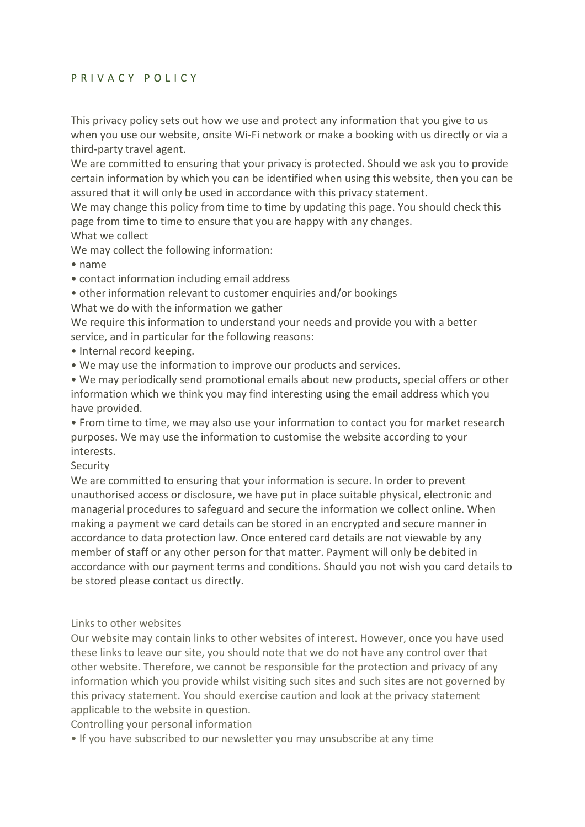## P R I V A C Y P O L I C Y

This privacy policy sets out how we use and protect any information that you give to us when you use our website, onsite Wi-Fi network or make a booking with us directly or via a third-party travel agent.

We are committed to ensuring that your privacy is protected. Should we ask you to provide certain information by which you can be identified when using this website, then you can be assured that it will only be used in accordance with this privacy statement.

We may change this policy from time to time by updating this page. You should check this page from time to time to ensure that you are happy with any changes.

What we collect

We may collect the following information:

- name
- contact information including email address
- other information relevant to customer enquiries and/or bookings
- What we do with the information we gather

We require this information to understand your needs and provide you with a better service, and in particular for the following reasons:

- Internal record keeping.
- We may use the information to improve our products and services.

• We may periodically send promotional emails about new products, special offers or other information which we think you may find interesting using the email address which you have provided.

• From time to time, we may also use your information to contact you for market research purposes. We may use the information to customise the website according to your interests.

## Security

We are committed to ensuring that your information is secure. In order to prevent unauthorised access or disclosure, we have put in place suitable physical, electronic and managerial procedures to safeguard and secure the information we collect online. When making a payment we card details can be stored in an encrypted and secure manner in accordance to data protection law. Once entered card details are not viewable by any member of staff or any other person for that matter. Payment will only be debited in accordance with our payment terms and conditions. Should you not wish you card details to be stored please contact us directly.

## Links to other websites

Our website may contain links to other websites of interest. However, once you have used these links to leave our site, you should note that we do not have any control over that other website. Therefore, we cannot be responsible for the protection and privacy of any information which you provide whilst visiting such sites and such sites are not governed by this privacy statement. You should exercise caution and look at the privacy statement applicable to the website in question.

Controlling your personal information

• If you have subscribed to our newsletter you may unsubscribe at any time